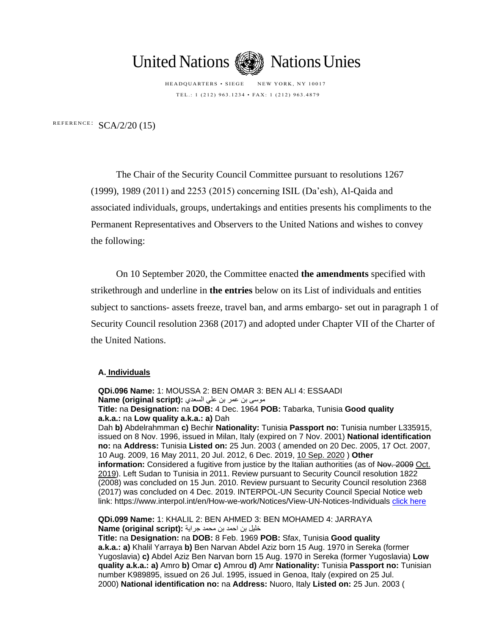

HEADQUARTERS • SIEGE NEW YORK, NY 10017 TEL .: 1 (212) 963.1234 • FAX: 1 (212) 963.4879

REFERENCE:  $SCA/2/20$  (15)

The Chair of the Security Council Committee pursuant to resolutions 1267 (1999), 1989 (2011) and 2253 (2015) concerning ISIL (Da'esh), Al-Qaida and associated individuals, groups, undertakings and entities presents his compliments to the Permanent Representatives and Observers to the United Nations and wishes to convey the following:

On 10 September 2020, the Committee enacted **the amendments** specified with strikethrough and underline in **the entries** below on its List of individuals and entities subject to sanctions- assets freeze, travel ban, and arms embargo- set out in paragraph 1 of Security Council resolution 2368 (2017) and adopted under Chapter VII of the Charter of the United Nations.

## **A. Individuals**

**QDi.096 Name:** 1: MOUSSA 2: BEN OMAR 3: BEN ALI 4: ESSAADI موسى بن عمر بن علي السعدي : **Name (original script) Title:** na **Designation:** na **DOB:** 4 Dec. 1964 **POB:** Tabarka, Tunisia **Good quality a.k.a.:** na **Low quality a.k.a.: a)** Dah Dah **b)** Abdelrahmman **c)** Bechir **Nationality:** Tunisia **Passport no:** Tunisia number L335915, issued on 8 Nov. 1996, issued in Milan, Italy (expired on 7 Nov. 2001) **National identification no:** na **Address:** Tunisia **Listed on:** 25 Jun. 2003 ( amended on 20 Dec. 2005, 17 Oct. 2007, 10 Aug. 2009, 16 May 2011, 20 Jul. 2012, 6 Dec. 2019, 10 Sep. 2020 ) **Other information:** Considered a fugitive from justice by the Italian authorities (as of Nov. 2009 Oct. 2019). Left Sudan to Tunisia in 2011. Review pursuant to Security Council resolution 1822 (2008) was concluded on 15 Jun. 2010. Review pursuant to Security Council resolution 2368 (2017) was concluded on 4 Dec. 2019. INTERPOL-UN Security Council Special Notice web link: https://www.interpol.int/en/How-we-work/Notices/View-UN-Notices-Individuals [click here](https://www.interpol.int/en/How-we-work/Notices/View-UN-Notices-Individuals)

**QDi.099 Name:** 1: KHALIL 2: BEN AHMED 3: BEN MOHAMED 4: JARRAYA خليل بن احمد بن محمد جراية **:(script original (Name**

**Title:** na **Designation:** na **DOB:** 8 Feb. 1969 **POB:** Sfax, Tunisia **Good quality a.k.a.: a)** Khalil Yarraya **b)** Ben Narvan Abdel Aziz born 15 Aug. 1970 in Sereka (former Yugoslavia) **c)** Abdel Aziz Ben Narvan born 15 Aug. 1970 in Sereka (former Yugoslavia) **Low quality a.k.a.: a)** Amro **b)** Omar **c)** Amrou **d)** Amr **Nationality:** Tunisia **Passport no:** Tunisian number K989895, issued on 26 Jul. 1995, issued in Genoa, Italy (expired on 25 Jul. 2000) **National identification no:** na **Address:** Nuoro, Italy **Listed on:** 25 Jun. 2003 (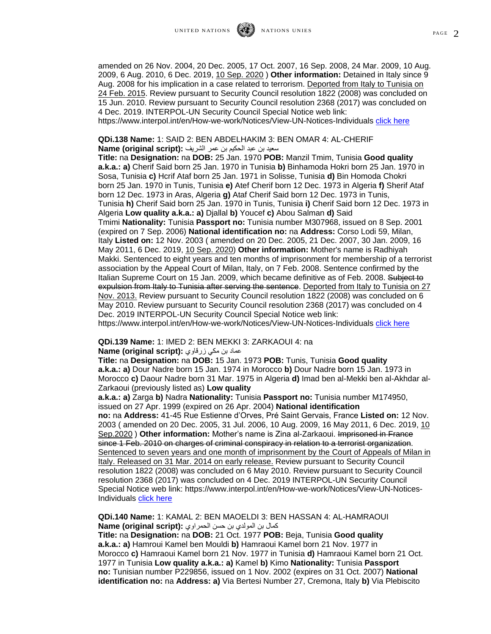amended on 26 Nov. 2004, 20 Dec. 2005, 17 Oct. 2007, 16 Sep. 2008, 24 Mar. 2009, 10 Aug. 2009, 6 Aug. 2010, 6 Dec. 2019, 10 Sep. 2020 ) **Other information:** Detained in Italy since 9 Aug. 2008 for his implication in a case related to terrorism. Deported from Italy to Tunisia on 24 Feb. 2015. Review pursuant to Security Council resolution 1822 (2008) was concluded on

15 Jun. 2010. Review pursuant to Security Council resolution 2368 (2017) was concluded on 4 Dec. 2019. INTERPOL-UN Security Council Special Notice web link: https://www.interpol.int/en/How-we-work/Notices/View-UN-Notices-Individuals [click here](https://www.interpol.int/en/How-we-work/Notices/View-UN-Notices-Individuals)

**QDi.138 Name:** 1: SAID 2: BEN ABDELHAKIM 3: BEN OMAR 4: AL-CHERIF سعيد بن عبد الحكيم بن عمر الشريف **:(script original (Name**

**Title:** na **Designation:** na **DOB:** 25 Jan. 1970 **POB:** Manzil Tmim, Tunisia **Good quality a.k.a.: a)** Cherif Said born 25 Jan. 1970 in Tunisia **b)** Binhamoda Hokri born 25 Jan. 1970 in Sosa, Tunisia **c)** Hcrif Ataf born 25 Jan. 1971 in Solisse, Tunisia **d)** Bin Homoda Chokri born 25 Jan. 1970 in Tunis, Tunisia **e)** Atef Cherif born 12 Dec. 1973 in Algeria **f)** Sherif Ataf born 12 Dec. 1973 in Aras, Algeria **g)** Ataf Cherif Said born 12 Dec. 1973 in Tunis, Tunisia **h)** Cherif Said born 25 Jan. 1970 in Tunis, Tunisia **i)** Cherif Said born 12 Dec. 1973 in Algeria **Low quality a.k.a.: a)** Djallal **b)** Youcef **c)** Abou Salman **d)** Said Tmimi **Nationality:** Tunisia **Passport no:** Tunisia number M307968, issued on 8 Sep. 2001 (expired on 7 Sep. 2006) **National identification no:** na **Address:** Corso Lodi 59, Milan, Italy **Listed on:** 12 Nov. 2003 ( amended on 20 Dec. 2005, 21 Dec. 2007, 30 Jan. 2009, 16 May 2011, 6 Dec. 2019, 10 Sep. 2020) **Other information:** Mother's name is Radhiyah Makki. Sentenced to eight years and ten months of imprisonment for membership of a terrorist association by the Appeal Court of Milan, Italy, on 7 Feb. 2008. Sentence confirmed by the Italian Supreme Court on 15 Jan. 2009, which became definitive as of Feb. 2008. Subject to expulsion from Italy to Tunisia after serving the sentence. Deported from Italy to Tunisia on 27 Nov. 2013. Review pursuant to Security Council resolution 1822 (2008) was concluded on 6 May 2010. Review pursuant to Security Council resolution 2368 (2017) was concluded on 4 Dec. 2019 INTERPOL-UN Security Council Special Notice web link: https://www.interpol.int/en/How-we-work/Notices/View-UN-Notices-Individuals [click here](https://www.interpol.int/en/How-we-work/Notices/View-UN-Notices-Individuals)

**QDi.139 Name:** 1: IMED 2: BEN MEKKI 3: ZARKAOUI 4: na

عماد بن مكي زرقاوي **:(script original (Name**

**Title:** na **Designation:** na **DOB:** 15 Jan. 1973 **POB:** Tunis, Tunisia **Good quality a.k.a.: a)** Dour Nadre born 15 Jan. 1974 in Morocco **b)** Dour Nadre born 15 Jan. 1973 in Morocco **c)** Daour Nadre born 31 Mar. 1975 in Algeria **d)** Imad ben al-Mekki ben al-Akhdar al-Zarkaoui (previously listed as) **Low quality** 

**a.k.a.: a)** Zarga **b)** Nadra **Nationality:** Tunisia **Passport no:** Tunisia number M174950, issued on 27 Apr. 1999 (expired on 26 Apr. 2004) **National identification** 

**no:** na **Address:** 41-45 Rue Estienne d'Orves, Pré Saint Gervais, France **Listed on:** 12 Nov. 2003 (amended on 20 Dec. 2005, 31 Jul. 2006, 10 Aug. 2009, 16 May 2011, 6 Dec. 2019, 10 Sep.2020 ) **Other information:** Mother's name is Zina al-Zarkaoui. Imprisoned in France since 1 Feb. 2010 on charges of criminal conspiracy in relation to a terrorist organization. Sentenced to seven years and one month of imprisonment by the Court of Appeals of Milan in Italy. Released on 31 Mar. 2014 on early release. Review pursuant to Security Council resolution 1822 (2008) was concluded on 6 May 2010. Review pursuant to Security Council resolution 2368 (2017) was concluded on 4 Dec. 2019 INTERPOL-UN Security Council Special Notice web link: https://www.interpol.int/en/How-we-work/Notices/View-UN-Notices-Individuals [click here](https://www.interpol.int/en/How-we-work/Notices/View-UN-Notices-Individuals)

**QDi.140 Name:** 1: KAMAL 2: BEN MAOELDI 3: BEN HASSAN 4: AL-HAMRAOUI كمال بن المولدي بن حسن الحمراوي **:(script original (Name**

**Title:** na **Designation:** na **DOB:** 21 Oct. 1977 **POB:** Beja, Tunisia **Good quality a.k.a.: a)** Hamroui Kamel ben Mouldi **b)** Hamraoui Kamel born 21 Nov. 1977 in Morocco **c)** Hamraoui Kamel born 21 Nov. 1977 in Tunisia **d)** Hamraoui Kamel born 21 Oct. 1977 in Tunisia **Low quality a.k.a.: a)** Kamel **b)** Kimo **Nationality:** Tunisia **Passport no:** Tunisian number P229856, issued on 1 Nov. 2002 (expires on 31 Oct. 2007) **National identification no:** na **Address: a)** Via Bertesi Number 27, Cremona, Italy **b)** Via Plebiscito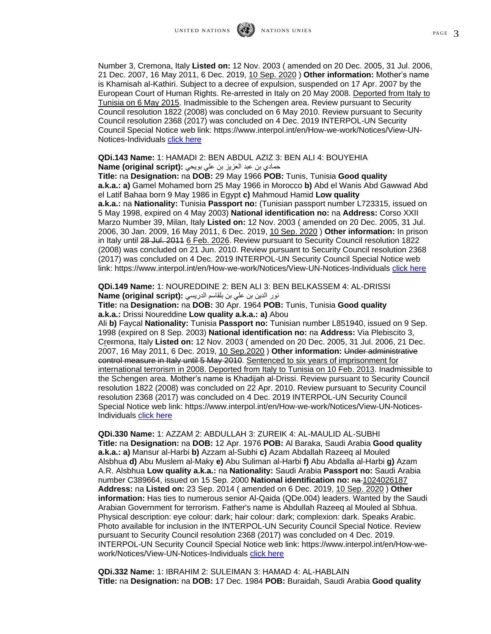Number 3, Cremona, Italy **Listed on:** 12 Nov. 2003 ( amended on 20 Dec. 2005, 31 Jul. 2006, 21 Dec. 2007, 16 May 2011, 6 Dec. 2019, 10 Sep. 2020 ) **Other information:** Mother's name is Khamisah al-Kathiri. Subject to a decree of expulsion, suspended on 17 Apr. 2007 by the European Court of Human Rights. Re-arrested in Italy on 20 May 2008. Deported from Italy to Tunisia on 6 May 2015. Inadmissible to the Schengen area. Review pursuant to Security Council resolution 1822 (2008) was concluded on 6 May 2010. Review pursuant to Security Council resolution 2368 (2017) was concluded on 4 Dec. 2019 INTERPOL-UN Security Council Special Notice web link: https://www.interpol.int/en/How-we-work/Notices/View-UN-Notices-Individuals [click here](https://www.interpol.int/en/How-we-work/Notices/View-UN-Notices-Individuals)

**QDi.143 Name:** 1: HAMADI 2: BEN ABDUL AZIZ 3: BEN ALI 4: BOUYEHIA

حمادي بن عبد العزيز بن علي بويحي **:(script original (Name**

**Title:** na **Designation:** na **DOB:** 29 May 1966 **POB:** Tunis, Tunisia **Good quality a.k.a.: a)** Gamel Mohamed born 25 May 1966 in Morocco **b)** Abd el Wanis Abd Gawwad Abd el Latif Bahaa born 9 May 1986 in Egypt **c)** Mahmoud Hamid **Low quality a.k.a.:** na **Nationality:** Tunisia **Passport no:** (Tunisian passport number L723315, issued on 5 May 1998, expired on 4 May 2003) **National identification no:** na **Address:** Corso XXII Marzo Number 39, Milan, Italy **Listed on:** 12 Nov. 2003 ( amended on 20 Dec. 2005, 31 Jul. 2006, 30 Jan. 2009, 16 May 2011, 6 Dec. 2019, 10 Sep. 2020 ) **Other information:** In prison in Italy until 28 Jul. 2011 6 Feb. 2026. Review pursuant to Security Council resolution 1822 (2008) was concluded on 21 Jun. 2010. Review pursuant to Security Council resolution 2368 (2017) was concluded on 4 Dec. 2019 INTERPOL-UN Security Council Special Notice web link: https://www.interpol.int/en/How-we-work/Notices/View-UN-Notices-Individuals [click here](https://www.interpol.int/en/How-we-work/Notices/View-UN-Notices-Individuals)

**QDi.149 Name:** 1: NOUREDDINE 2: BEN ALI 3: BEN BELKASSEM 4: AL-DRISSI نور الدين بن علي بن بلقاسم الدريسي **:(script original (Name**

**Title:** na **Designation:** na **DOB:** 30 Apr. 1964 **POB:** Tunis, Tunisia **Good quality a.k.a.:** Drissi Noureddine **Low quality a.k.a.: a)** Abou

Ali **b)** Faycal **Nationality:** Tunisia **Passport no:** Tunisian number L851940, issued on 9 Sep. 1998 (expired on 8 Sep. 2003) **National identification no:** na **Address:** Via Plebiscito 3, Crermona, Italy **Listed on:** 12 Nov. 2003 ( amended on 20 Dec. 2005, 31 Jul. 2006, 21 Dec. 2007, 16 May 2011, 6 Dec. 2019, 10 Sep.2020 ) **Other information:** Under administrative control measure in Italy until 5 May 2010. Sentenced to six years of imprisonment for international terrorism in 2008. Deported from Italy to Tunisia on 10 Feb. 2013. Inadmissible to the Schengen area. Mother's name is Khadijah al-Drissi. Review pursuant to Security Council resolution 1822 (2008) was concluded on 22 Apr. 2010. Review pursuant to Security Council resolution 2368 (2017) was concluded on 4 Dec. 2019 INTERPOL-UN Security Council Special Notice web link: https://www.interpol.int/en/How-we-work/Notices/View-UN-Notices-Individuals [click here](https://www.interpol.int/en/How-we-work/Notices/View-UN-Notices-Individuals)

**QDi.330 Name:** 1: AZZAM 2: ABDULLAH 3: ZUREIK 4: AL-MAULID AL-SUBHI **Title:** na **Designation:** na **DOB:** 12 Apr. 1976 **POB:** Al Baraka, Saudi Arabia **Good quality a.k.a.: a)** Mansur al-Harbi **b)** Azzam al-Subhi **c)** Azam Abdallah Razeeq al Mouled Alsbhua **d)** Abu Muslem al-Maky **e)** Abu Suliman al-Harbi **f)** Abu Abdalla al-Harbi **g)** Azam A.R. Alsbhua **Low quality a.k.a.:** na **Nationality:** Saudi Arabia **Passport no:** Saudi Arabia number C389664, issued on 15 Sep. 2000 National identification no:  $A = 1024026187$ **Address:** na **Listed on:** 23 Sep. 2014 ( amended on 6 Dec. 2019, 10 Sep. 2020 ) **Other information:** Has ties to numerous senior Al-Qaida (QDe.004) leaders. Wanted by the Saudi Arabian Government for terrorism. Father's name is Abdullah Razeeq al Mouled al Sbhua. Physical description: eye colour: dark; hair colour: dark; complexion: dark. Speaks Arabic. Photo available for inclusion in the INTERPOL-UN Security Council Special Notice. Review pursuant to Security Council resolution 2368 (2017) was concluded on 4 Dec. 2019. INTERPOL-UN Security Council Special Notice web link: https://www.interpol.int/en/How-wework/Notices/View-UN-Notices-Individuals [click here](https://www.interpol.int/en/How-we-work/Notices/View-UN-Notices-Individuals)

**QDi.332 Name:** 1: IBRAHIM 2: SULEIMAN 3: HAMAD 4: AL-HABLAIN **Title:** na **Designation:** na **DOB:** 17 Dec. 1984 **POB:** Buraidah, Saudi Arabia **Good quality**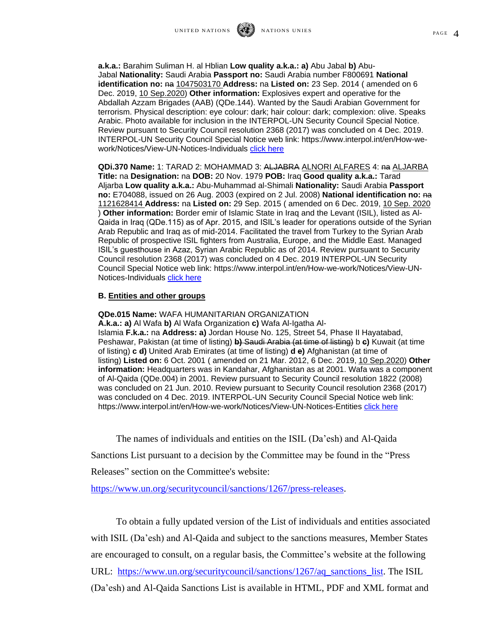**a.k.a.:** Barahim Suliman H. al Hblian **Low quality a.k.a.: a)** Abu Jabal **b)** Abu-Jabal **Nationality:** Saudi Arabia **Passport no:** Saudi Arabia number F800691 **National identification no:** na 1047503170 **Address:** na **Listed on:** 23 Sep. 2014 ( amended on 6 Dec. 2019, 10 Sep.2020) **Other information:** Explosives expert and operative for the Abdallah Azzam Brigades (AAB) (QDe.144). Wanted by the Saudi Arabian Government for terrorism. Physical description: eye colour: dark; hair colour: dark; complexion: olive. Speaks Arabic. Photo available for inclusion in the INTERPOL-UN Security Council Special Notice. Review pursuant to Security Council resolution 2368 (2017) was concluded on 4 Dec. 2019. INTERPOL-UN Security Council Special Notice web link: https://www.interpol.int/en/How-wework/Notices/View-UN-Notices-Individuals [click here](https://www.interpol.int/en/How-we-work/Notices/View-UN-Notices-Individuals)

**QDi.370 Name:** 1: TARAD 2: MOHAMMAD 3: ALJABRA ALNORI ALFARES 4: na ALJARBA **Title:** na **Designation:** na **DOB:** 20 Nov. 1979 **POB:** Iraq **Good quality a.k.a.:** Tarad Aljarba **Low quality a.k.a.:** Abu-Muhammad al-Shimali **Nationality:** Saudi Arabia **Passport no:** E704088, issued on 26 Aug. 2003 (expired on 2 Jul. 2008) **National identification no:** na 1121628414 **Address:** na **Listed on:** 29 Sep. 2015 ( amended on 6 Dec. 2019, 10 Sep. 2020 ) **Other information:** Border emir of Islamic State in Iraq and the Levant (ISIL), listed as Al-Qaida in Iraq (QDe.115) as of Apr. 2015, and ISIL's leader for operations outside of the Syrian Arab Republic and Iraq as of mid-2014. Facilitated the travel from Turkey to the Syrian Arab Republic of prospective ISIL fighters from Australia, Europe, and the Middle East. Managed ISIL's guesthouse in Azaz, Syrian Arabic Republic as of 2014. Review pursuant to Security Council resolution 2368 (2017) was concluded on 4 Dec. 2019 INTERPOL-UN Security Council Special Notice web link: https://www.interpol.int/en/How-we-work/Notices/View-UN-Notices-Individuals [click here](https://www.interpol.int/en/How-we-work/Notices/View-UN-Notices-Individuals)

## **B. Entities and other groups**

**QDe.015 Name:** WAFA HUMANITARIAN ORGANIZATION **A.k.a.: a)** Al Wafa **b)** Al Wafa Organization **c)** Wafa Al-Igatha Al-Islamia **F.k.a.:** na **Address: a)** Jordan House No. 125, Street 54, Phase II Hayatabad, Peshawar, Pakistan (at time of listing) **b)** Saudi Arabia (at time of listing) b **c)** Kuwait (at time of listing) **c d)** United Arab Emirates (at time of listing) **d e)** Afghanistan (at time of listing) **Listed on:** 6 Oct. 2001 ( amended on 21 Mar. 2012, 6 Dec. 2019, 10 Sep.2020) **Other information:** Headquarters was in Kandahar, Afghanistan as at 2001. Wafa was a component of Al-Qaida (QDe.004) in 2001. Review pursuant to Security Council resolution 1822 (2008) was concluded on 21 Jun. 2010. Review pursuant to Security Council resolution 2368 (2017) was concluded on 4 Dec. 2019. INTERPOL-UN Security Council Special Notice web link: https://www.interpol.int/en/How-we-work/Notices/View-UN-Notices-Entities [click here](https://www.interpol.int/en/How-we-work/Notices/View-UN-Notices-Entities)

The names of individuals and entities on the ISIL (Da'esh) and Al-Qaida

Sanctions List pursuant to a decision by the Committee may be found in the "Press

Releases" section on the Committee's website:

https://www.un.org/securitycouncil/sanctions/1267/press-releases.

To obtain a fully updated version of the List of individuals and entities associated with ISIL (Da'esh) and Al-Qaida and subject to the sanctions measures, Member States are encouraged to consult, on a regular basis, the Committee's website at the following URL: [https://www.un.org/securitycouncil/sanctions/1267/aq\\_sanctions\\_list.](https://www.un.org/securitycouncil/sanctions/1267/aq_sanctions_list) The ISIL (Da'esh) and Al-Qaida Sanctions List is available in HTML, PDF and XML format and